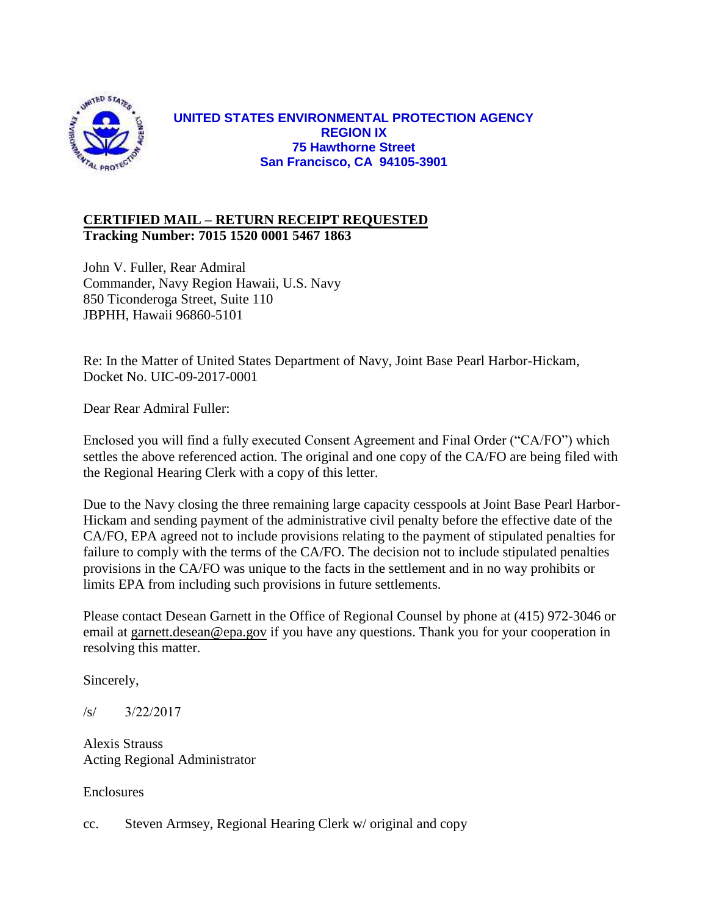

# **UNITED STATES ENVIRONMENTAL PROTECTION AGENCY REGION IX 75 Hawthorne Street San Francisco, CA 94105-3901**

# **CERTIFIED MAIL – RETURN RECEIPT REQUESTED Tracking Number: 7015 1520 0001 5467 1863**

John V. Fuller, Rear Admiral Commander, Navy Region Hawaii, U.S. Navy 850 Ticonderoga Street, Suite 110 JBPHH, Hawaii 96860-5101

Re: In the Matter of United States Department of Navy, Joint Base Pearl Harbor-Hickam, Docket No. UIC-09-2017-0001

Dear Rear Admiral Fuller:

Enclosed you will find a fully executed Consent Agreement and Final Order ("CA/FO") which settles the above referenced action. The original and one copy of the CA/FO are being filed with the Regional Hearing Clerk with a copy of this letter.

Due to the Navy closing the three remaining large capacity cesspools at Joint Base Pearl Harbor-Hickam and sending payment of the administrative civil penalty before the effective date of the CA/FO, EPA agreed not to include provisions relating to the payment of stipulated penalties for failure to comply with the terms of the CA/FO. The decision not to include stipulated penalties provisions in the CA/FO was unique to the facts in the settlement and in no way prohibits or limits EPA from including such provisions in future settlements.

Please contact Desean Garnett in the Office of Regional Counsel by phone at (415) 972-3046 or email at [garnett.desean@epa.gov](mailto:garnett.desean@epa.gov) if you have any questions. Thank you for your cooperation in resolving this matter.

Sincerely,

/s/ 3/22/2017

Alexis Strauss Acting Regional Administrator

Enclosures

cc. Steven Armsey, Regional Hearing Clerk w/ original and copy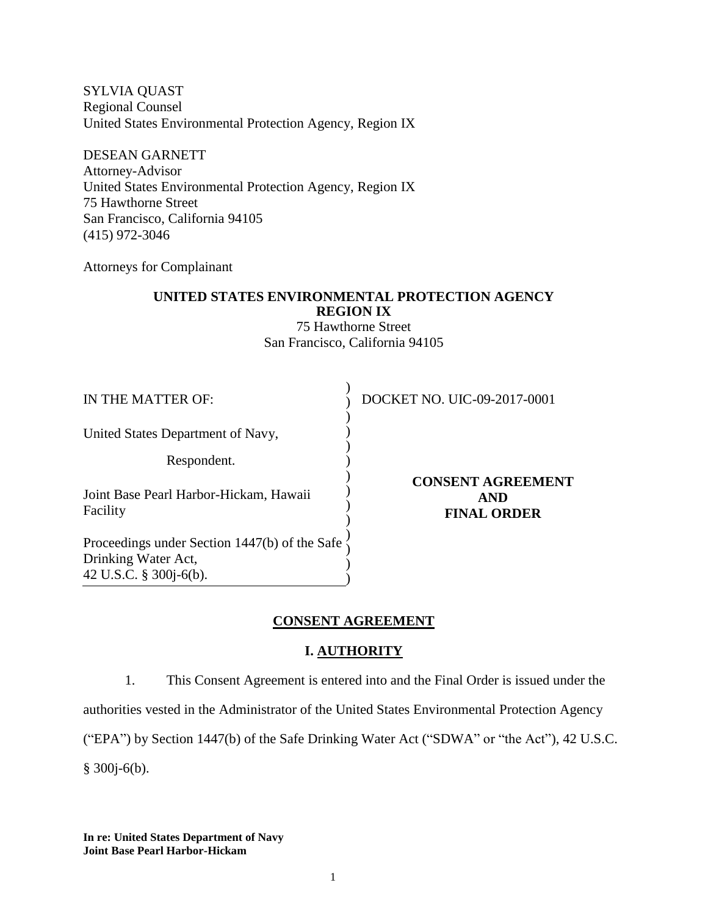SYLVIA QUAST Regional Counsel United States Environmental Protection Agency, Region IX

DESEAN GARNETT Attorney-Advisor United States Environmental Protection Agency, Region IX 75 Hawthorne Street San Francisco, California 94105 (415) 972-3046

Attorneys for Complainant

## **UNITED STATES ENVIRONMENTAL PROTECTION AGENCY REGION IX**

75 Hawthorne Street San Francisco, California 94105

)

) ) ) ) )  $\overline{)}$  $\overline{)}$  $\overline{)}$  $\overline{)}$ 

United States Department of Navy,

Respondent.

Joint Base Pearl Harbor-Hickam, Hawaii Facility

Proceedings under Section 1447(b) of the Safe  $\}$ Drinking Water Act, 42 U.S.C. § 300j-6(b). ) ) )

DOCKET NO. UIC-09-2017-0001

**CONSENT AGREEMENT AND FINAL ORDER** 

### **CONSENT AGREEMENT**

# **I. AUTHORITY**

1. This Consent Agreement is entered into and the Final Order is issued under the

authorities vested in the Administrator of the United States Environmental Protection Agency

("EPA") by Section 1447(b) of the Safe Drinking Water Act ("SDWA" or "the Act"), 42 U.S.C.

§ 300j-6(b).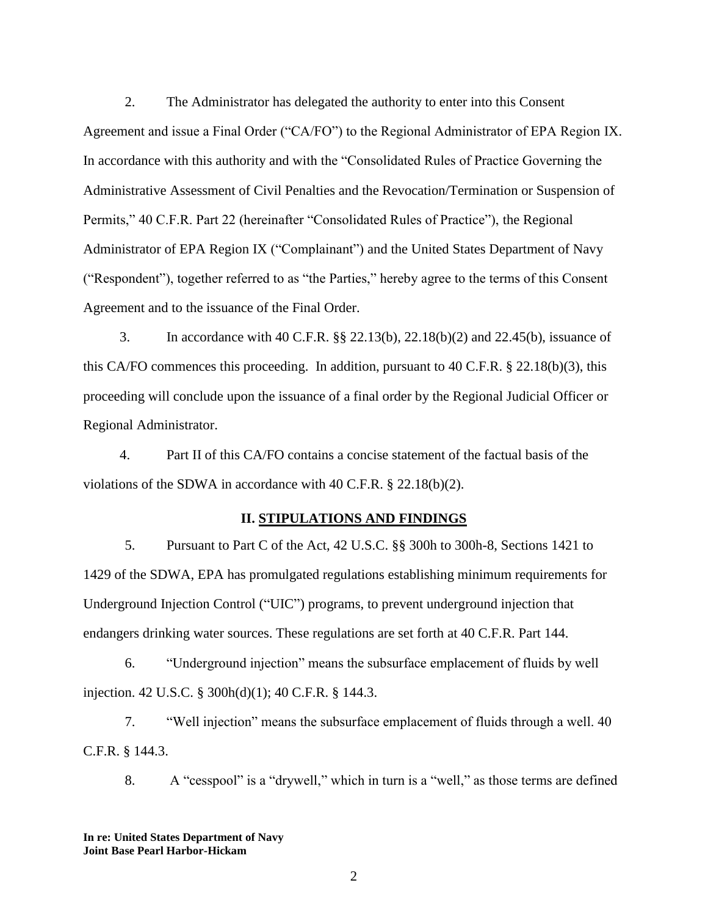2. The Administrator has delegated the authority to enter into this Consent Agreement and issue a Final Order ("CA/FO") to the Regional Administrator of EPA Region IX. In accordance with this authority and with the "Consolidated Rules of Practice Governing the Administrative Assessment of Civil Penalties and the Revocation/Termination or Suspension of Permits," 40 C.F.R. Part 22 (hereinafter "Consolidated Rules of Practice"), the Regional Administrator of EPA Region IX ("Complainant") and the United States Department of Navy ("Respondent"), together referred to as "the Parties," hereby agree to the terms of this Consent Agreement and to the issuance of the Final Order.

3. In accordance with 40 C.F.R. §§ 22.13(b), 22.18(b)(2) and 22.45(b), issuance of this CA/FO commences this proceeding. In addition, pursuant to 40 C.F.R. § 22.18(b)(3), this proceeding will conclude upon the issuance of a final order by the Regional Judicial Officer or Regional Administrator.

4. Part II of this CA/FO contains a concise statement of the factual basis of the violations of the SDWA in accordance with 40 C.F.R. § 22.18(b)(2).

### **II. STIPULATIONS AND FINDINGS**

5. Pursuant to Part C of the Act, 42 U.S.C. §§ 300h to 300h-8, Sections 1421 to 1429 of the SDWA, EPA has promulgated regulations establishing minimum requirements for Underground Injection Control ("UIC") programs, to prevent underground injection that endangers drinking water sources. These regulations are set forth at 40 C.F.R. Part 144.

6. "Underground injection" means the subsurface emplacement of fluids by well injection. 42 U.S.C. § 300h(d)(1); 40 C.F.R. § 144.3.

7. "Well injection" means the subsurface emplacement of fluids through a well. 40 C.F.R. § 144.3.

8. A "cesspool" is a "drywell," which in turn is a "well," as those terms are defined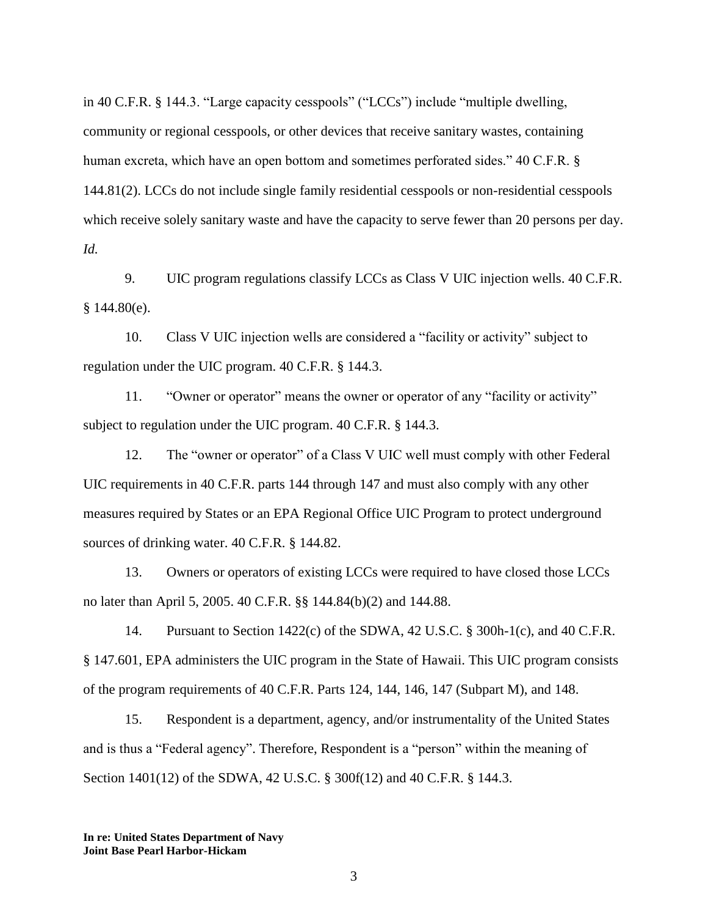in 40 C.F.R. § 144.3. "Large capacity cesspools" ("LCCs") include "multiple dwelling, community or regional cesspools, or other devices that receive sanitary wastes, containing human excreta, which have an open bottom and sometimes perforated sides." 40 C.F.R. § 144.81(2). LCCs do not include single family residential cesspools or non-residential cesspools which receive solely sanitary waste and have the capacity to serve fewer than 20 persons per day. *Id.*

9. UIC program regulations classify LCCs as Class V UIC injection wells. 40 C.F.R.  $§$  144.80(e).

10. Class V UIC injection wells are considered a "facility or activity" subject to regulation under the UIC program. 40 C.F.R. § 144.3.

11. "Owner or operator" means the owner or operator of any "facility or activity" subject to regulation under the UIC program. 40 C.F.R. § 144.3.

12. The "owner or operator" of a Class V UIC well must comply with other Federal UIC requirements in 40 C.F.R. parts 144 through 147 and must also comply with any other measures required by States or an EPA Regional Office UIC Program to protect underground sources of drinking water. 40 C.F.R. § 144.82.

13. Owners or operators of existing LCCs were required to have closed those LCCs no later than April 5, 2005. 40 C.F.R. §§ 144.84(b)(2) and 144.88.

14. Pursuant to Section 1422(c) of the SDWA, 42 U.S.C. § 300h-1(c), and 40 C.F.R. § 147.601, EPA administers the UIC program in the State of Hawaii. This UIC program consists of the program requirements of 40 C.F.R. Parts 124, 144, 146, 147 (Subpart M), and 148.

15. Respondent is a department, agency, and/or instrumentality of the United States and is thus a "Federal agency". Therefore, Respondent is a "person" within the meaning of Section 1401(12) of the SDWA, 42 U.S.C. § 300f(12) and 40 C.F.R. § 144.3.

**In re: United States Department of Navy Joint Base Pearl Harbor-Hickam**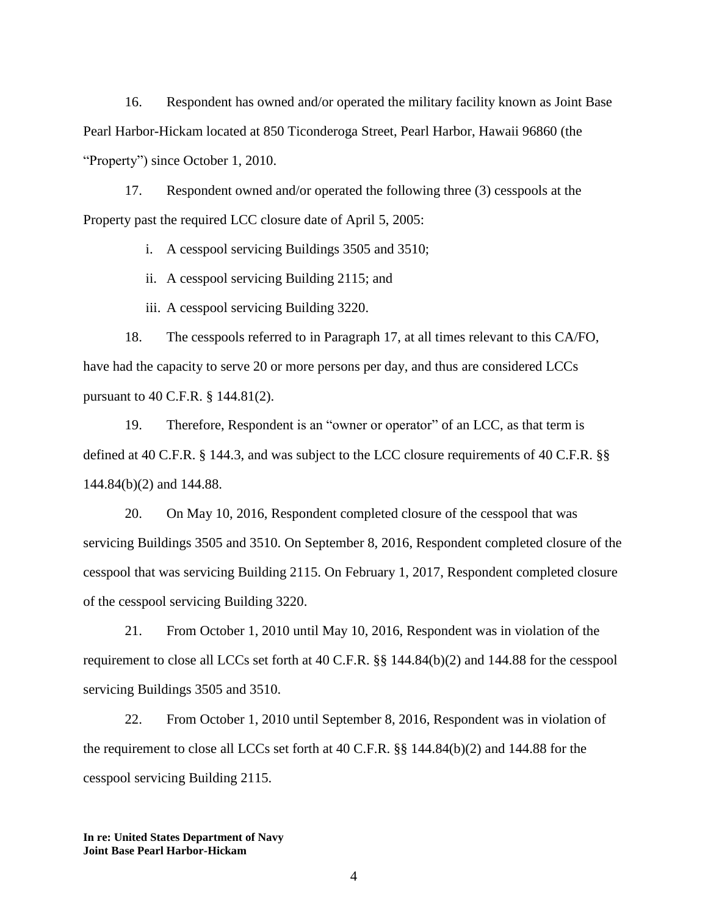16. Respondent has owned and/or operated the military facility known as Joint Base Pearl Harbor-Hickam located at 850 Ticonderoga Street, Pearl Harbor, Hawaii 96860 (the "Property") since October 1, 2010.

17. Respondent owned and/or operated the following three (3) cesspools at the Property past the required LCC closure date of April 5, 2005:

i. A cesspool servicing Buildings 3505 and 3510;

ii. A cesspool servicing Building 2115; and

iii. A cesspool servicing Building 3220.

18. The cesspools referred to in Paragraph 17, at all times relevant to this CA/FO, have had the capacity to serve 20 or more persons per day, and thus are considered LCCs pursuant to 40 C.F.R. § 144.81(2).

19. Therefore, Respondent is an "owner or operator" of an LCC, as that term is defined at 40 C.F.R. § 144.3, and was subject to the LCC closure requirements of 40 C.F.R. §§ 144.84(b)(2) and 144.88.

20. On May 10, 2016, Respondent completed closure of the cesspool that was servicing Buildings 3505 and 3510. On September 8, 2016, Respondent completed closure of the cesspool that was servicing Building 2115. On February 1, 2017, Respondent completed closure of the cesspool servicing Building 3220.

21. From October 1, 2010 until May 10, 2016, Respondent was in violation of the requirement to close all LCCs set forth at 40 C.F.R. §§ 144.84(b)(2) and 144.88 for the cesspool servicing Buildings 3505 and 3510.

22. From October 1, 2010 until September 8, 2016, Respondent was in violation of the requirement to close all LCCs set forth at 40 C.F.R. §§ 144.84(b)(2) and 144.88 for the cesspool servicing Building 2115.

**In re: United States Department of Navy Joint Base Pearl Harbor-Hickam**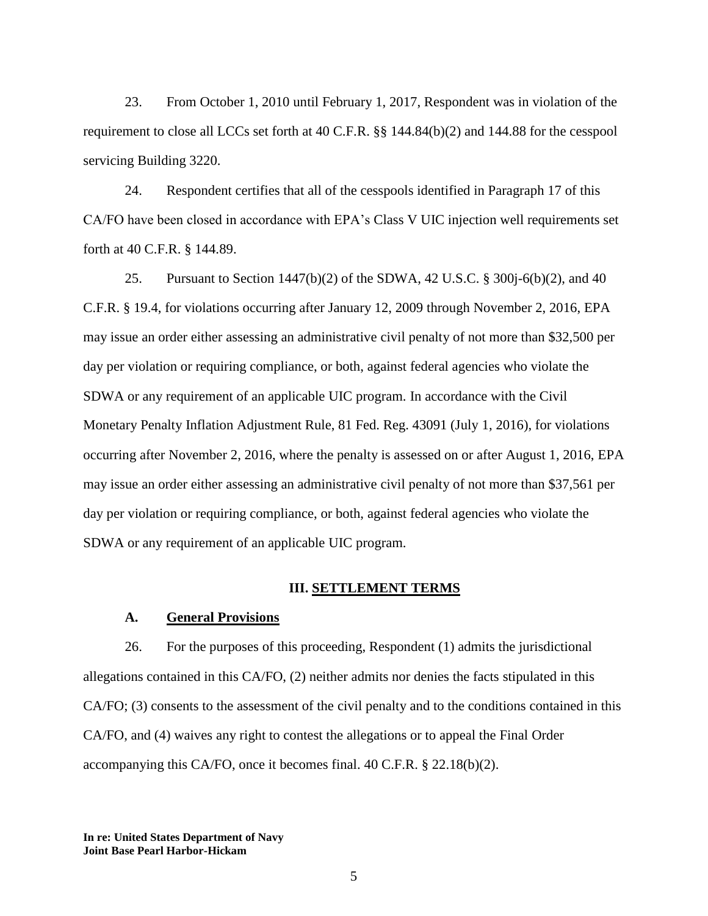23. From October 1, 2010 until February 1, 2017, Respondent was in violation of the requirement to close all LCCs set forth at 40 C.F.R. §§ 144.84(b)(2) and 144.88 for the cesspool servicing Building 3220.

24. Respondent certifies that all of the cesspools identified in Paragraph 17 of this CA/FO have been closed in accordance with EPA's Class V UIC injection well requirements set forth at 40 C.F.R. § 144.89.

25. Pursuant to Section 1447(b)(2) of the SDWA, 42 U.S.C. § 300j-6(b)(2), and 40 C.F.R. § 19.4, for violations occurring after January 12, 2009 through November 2, 2016, EPA may issue an order either assessing an administrative civil penalty of not more than \$32,500 per day per violation or requiring compliance, or both, against federal agencies who violate the SDWA or any requirement of an applicable UIC program. In accordance with the Civil Monetary Penalty Inflation Adjustment Rule, 81 Fed. Reg. 43091 (July 1, 2016), for violations occurring after November 2, 2016, where the penalty is assessed on or after August 1, 2016, EPA may issue an order either assessing an administrative civil penalty of not more than \$37,561 per day per violation or requiring compliance, or both, against federal agencies who violate the SDWA or any requirement of an applicable UIC program.

#### **III. SETTLEMENT TERMS**

#### **A. General Provisions**

26. For the purposes of this proceeding, Respondent (1) admits the jurisdictional allegations contained in this CA/FO, (2) neither admits nor denies the facts stipulated in this CA/FO; (3) consents to the assessment of the civil penalty and to the conditions contained in this CA/FO, and (4) waives any right to contest the allegations or to appeal the Final Order accompanying this CA/FO, once it becomes final. 40 C.F.R. § 22.18(b)(2).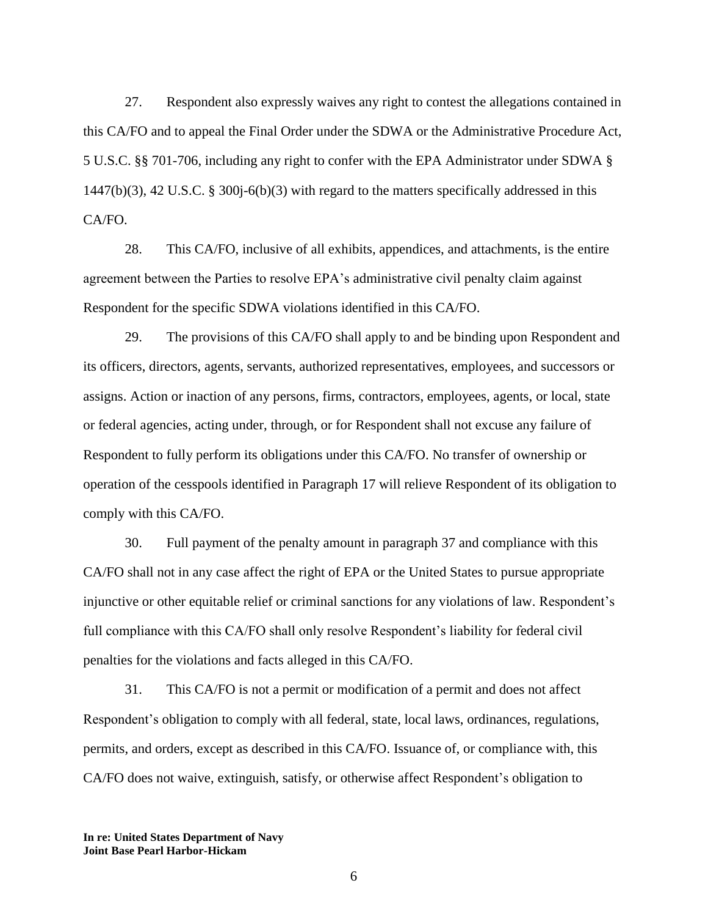27. Respondent also expressly waives any right to contest the allegations contained in this CA/FO and to appeal the Final Order under the SDWA or the Administrative Procedure Act, 5 U.S.C. §§ 701-706, including any right to confer with the EPA Administrator under SDWA § 1447(b)(3), 42 U.S.C. § 300j-6(b)(3) with regard to the matters specifically addressed in this CA/FO.

28. This CA/FO, inclusive of all exhibits, appendices, and attachments, is the entire agreement between the Parties to resolve EPA's administrative civil penalty claim against Respondent for the specific SDWA violations identified in this CA/FO.

29. The provisions of this CA/FO shall apply to and be binding upon Respondent and its officers, directors, agents, servants, authorized representatives, employees, and successors or assigns. Action or inaction of any persons, firms, contractors, employees, agents, or local, state or federal agencies, acting under, through, or for Respondent shall not excuse any failure of Respondent to fully perform its obligations under this CA/FO. No transfer of ownership or operation of the cesspools identified in Paragraph 17 will relieve Respondent of its obligation to comply with this CA/FO.

30. Full payment of the penalty amount in paragraph 37 and compliance with this CA/FO shall not in any case affect the right of EPA or the United States to pursue appropriate injunctive or other equitable relief or criminal sanctions for any violations of law. Respondent's full compliance with this CA/FO shall only resolve Respondent's liability for federal civil penalties for the violations and facts alleged in this CA/FO.

31. This CA/FO is not a permit or modification of a permit and does not affect Respondent's obligation to comply with all federal, state, local laws, ordinances, regulations, permits, and orders, except as described in this CA/FO. Issuance of, or compliance with, this CA/FO does not waive, extinguish, satisfy, or otherwise affect Respondent's obligation to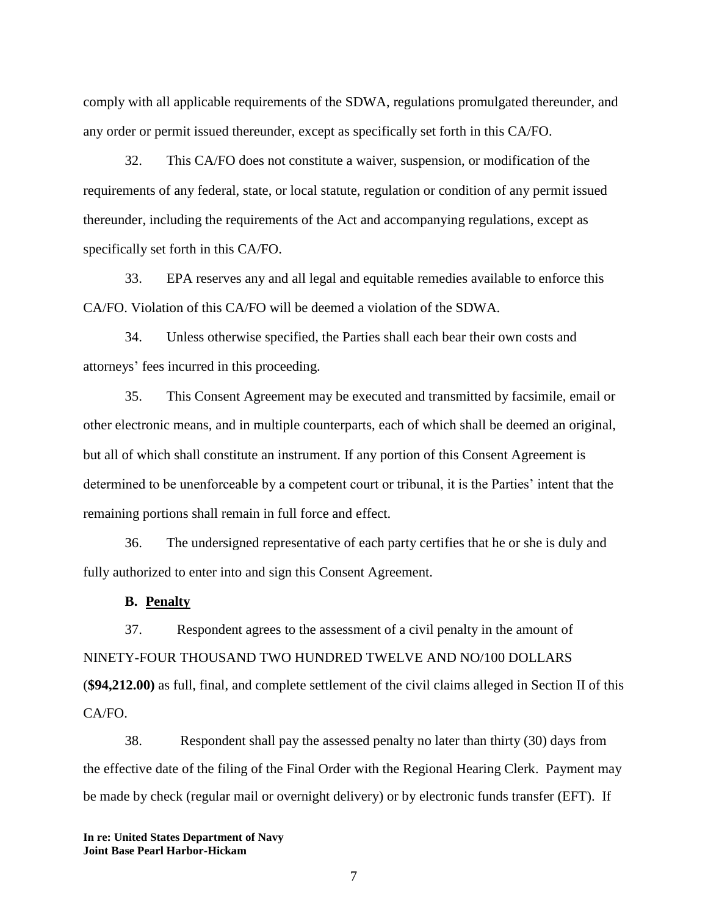comply with all applicable requirements of the SDWA, regulations promulgated thereunder, and any order or permit issued thereunder, except as specifically set forth in this CA/FO.

32. This CA/FO does not constitute a waiver, suspension, or modification of the requirements of any federal, state, or local statute, regulation or condition of any permit issued thereunder, including the requirements of the Act and accompanying regulations, except as specifically set forth in this CA/FO.

33. EPA reserves any and all legal and equitable remedies available to enforce this CA/FO. Violation of this CA/FO will be deemed a violation of the SDWA.

34. Unless otherwise specified, the Parties shall each bear their own costs and attorneys' fees incurred in this proceeding.

35. This Consent Agreement may be executed and transmitted by facsimile, email or other electronic means, and in multiple counterparts, each of which shall be deemed an original, but all of which shall constitute an instrument. If any portion of this Consent Agreement is determined to be unenforceable by a competent court or tribunal, it is the Parties' intent that the remaining portions shall remain in full force and effect.

36. The undersigned representative of each party certifies that he or she is duly and fully authorized to enter into and sign this Consent Agreement.

### **B. Penalty**

37. Respondent agrees to the assessment of a civil penalty in the amount of NINETY-FOUR THOUSAND TWO HUNDRED TWELVE AND NO/100 DOLLARS (**\$94,212.00)** as full, final, and complete settlement of the civil claims alleged in Section II of this CA/FO.

38. Respondent shall pay the assessed penalty no later than thirty (30) days from the effective date of the filing of the Final Order with the Regional Hearing Clerk. Payment may be made by check (regular mail or overnight delivery) or by electronic funds transfer (EFT). If

**In re: United States Department of Navy Joint Base Pearl Harbor-Hickam**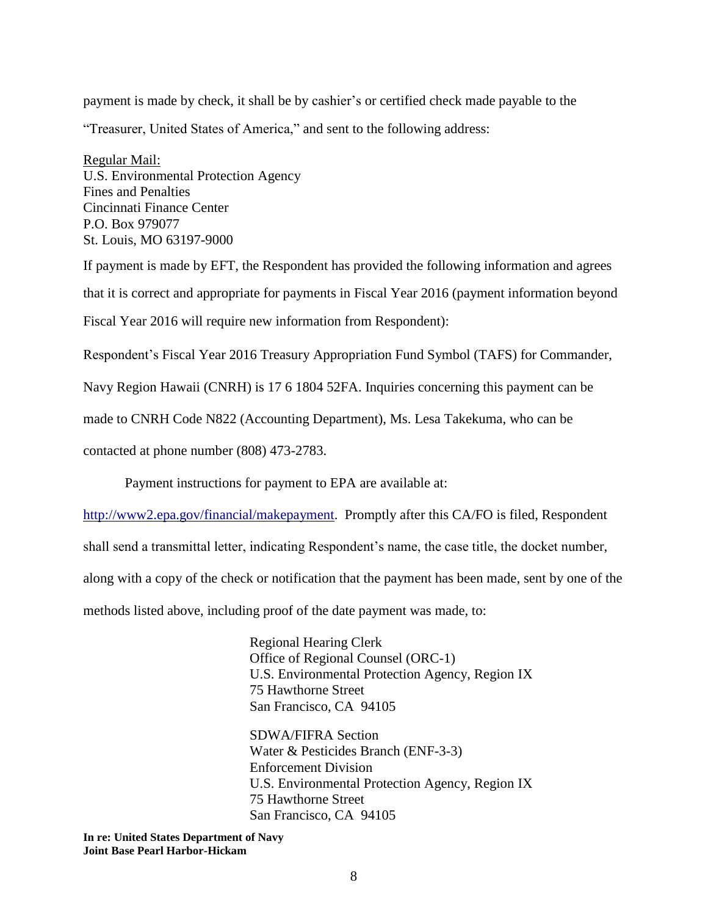payment is made by check, it shall be by cashier's or certified check made payable to the "Treasurer, United States of America," and sent to the following address:

Regular Mail: U.S. Environmental Protection Agency Fines and Penalties Cincinnati Finance Center P.O. Box 979077 St. Louis, MO 63197-9000

If payment is made by EFT, the Respondent has provided the following information and agrees that it is correct and appropriate for payments in Fiscal Year 2016 (payment information beyond Fiscal Year 2016 will require new information from Respondent):

Respondent's Fiscal Year 2016 Treasury Appropriation Fund Symbol (TAFS) for Commander,

Navy Region Hawaii (CNRH) is 17 6 1804 52FA. Inquiries concerning this payment can be

made to CNRH Code N822 (Accounting Department), Ms. Lesa Takekuma, who can be

contacted at phone number (808) 473-2783.

Payment instructions for payment to EPA are available at:

[http://www2.epa.gov/financial/makepayment.](http://www2.epa.gov/financial/makepayment) Promptly after this CA/FO is filed, Respondent

shall send a transmittal letter, indicating Respondent's name, the case title, the docket number,

along with a copy of the check or notification that the payment has been made, sent by one of the

methods listed above, including proof of the date payment was made, to:

Regional Hearing Clerk Office of Regional Counsel (ORC-1) U.S. Environmental Protection Agency, Region IX 75 Hawthorne Street San Francisco, CA 94105

SDWA/FIFRA Section Water & Pesticides Branch (ENF-3-3) Enforcement Division U.S. Environmental Protection Agency, Region IX 75 Hawthorne Street San Francisco, CA 94105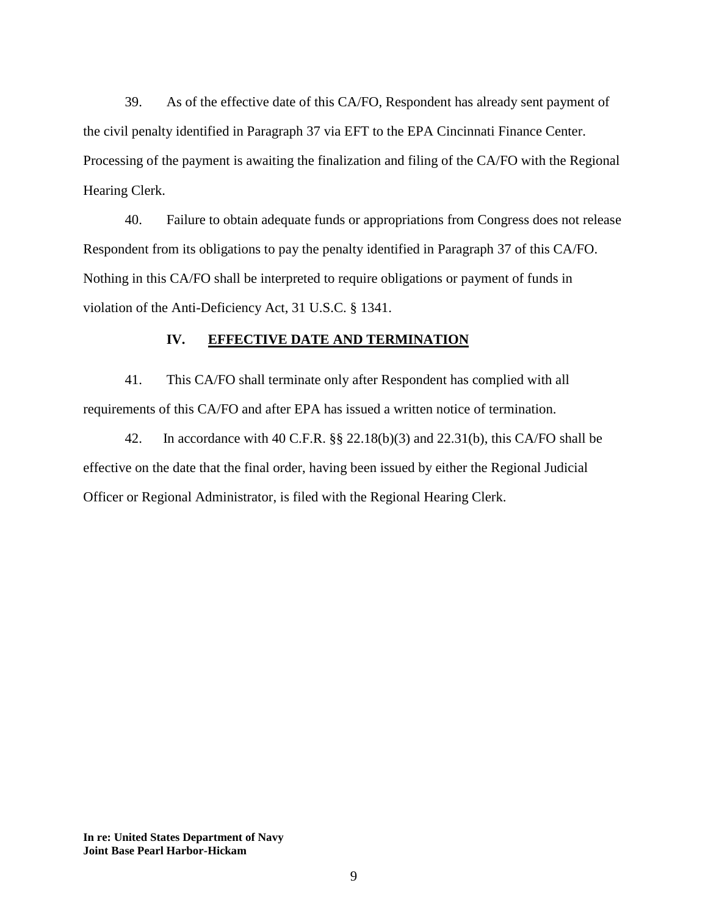39. As of the effective date of this CA/FO, Respondent has already sent payment of the civil penalty identified in Paragraph 37 via EFT to the EPA Cincinnati Finance Center. Processing of the payment is awaiting the finalization and filing of the CA/FO with the Regional Hearing Clerk.

40. Failure to obtain adequate funds or appropriations from Congress does not release Respondent from its obligations to pay the penalty identified in Paragraph 37 of this CA/FO. Nothing in this CA/FO shall be interpreted to require obligations or payment of funds in violation of the Anti-Deficiency Act, 31 U.S.C. § 1341.

#### **IV. EFFECTIVE DATE AND TERMINATION**

41. This CA/FO shall terminate only after Respondent has complied with all requirements of this CA/FO and after EPA has issued a written notice of termination.

42. In accordance with 40 C.F.R. §§ 22.18(b)(3) and 22.31(b), this CA/FO shall be effective on the date that the final order, having been issued by either the Regional Judicial Officer or Regional Administrator, is filed with the Regional Hearing Clerk.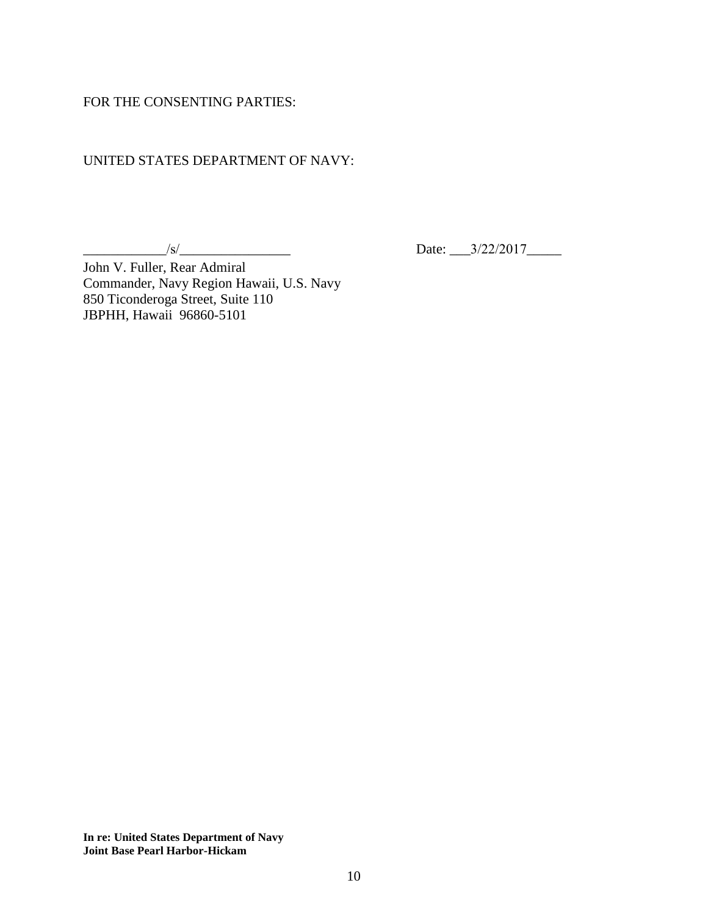### FOR THE CONSENTING PARTIES:

# UNITED STATES DEPARTMENT OF NAVY:

 $\frac{1}{s}$ 

Date: 3/22/2017

John V. Fuller, Rear Admiral Commander, Navy Region Hawaii, U.S. Navy 850 Ticonderoga Street, Suite 110 JBPHH, Hawaii 96860-5101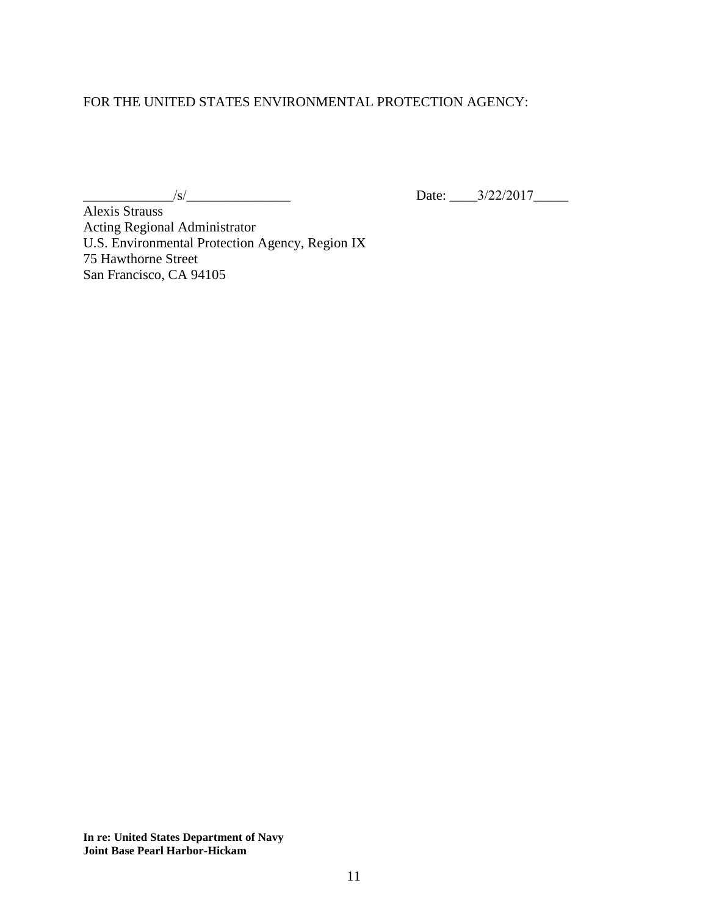## FOR THE UNITED STATES ENVIRONMENTAL PROTECTION AGENCY:

 $\frac{1}{s}$  Date:  $\frac{3}{22/2017}$ 

Alexis Strauss Acting Regional Administrator U.S. Environmental Protection Agency, Region IX 75 Hawthorne Street San Francisco, CA 94105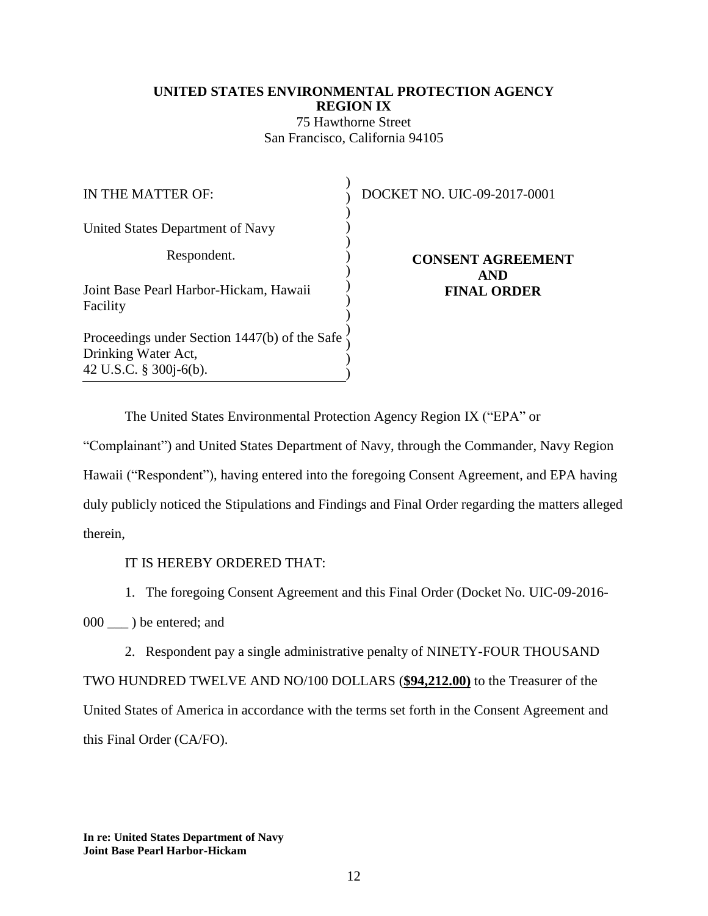# **UNITED STATES ENVIRONMENTAL PROTECTION AGENCY REGION IX** 75 Hawthorne Street San Francisco, California 94105

| IN THE MATTER OF:                                                                                 | DOCKET NO. UIC-09-2017-0001      |
|---------------------------------------------------------------------------------------------------|----------------------------------|
| United States Department of Navy                                                                  |                                  |
| Respondent.                                                                                       | <b>CONSENT AGREEMENT</b>         |
| Joint Base Pearl Harbor-Hickam, Hawaii<br>Facility                                                | <b>AND</b><br><b>FINAL ORDER</b> |
| Proceedings under Section 1447(b) of the Safe<br>Drinking Water Act,<br>42 U.S.C. $\S$ 300j-6(b). |                                  |

The United States Environmental Protection Agency Region IX ("EPA" or

"Complainant") and United States Department of Navy, through the Commander, Navy Region Hawaii ("Respondent"), having entered into the foregoing Consent Agreement, and EPA having duly publicly noticed the Stipulations and Findings and Final Order regarding the matters alleged therein,

IT IS HEREBY ORDERED THAT:

1. The foregoing Consent Agreement and this Final Order (Docket No. UIC-09-2016-

000 \_\_ ) be entered; and

2. Respondent pay a single administrative penalty of NINETY-FOUR THOUSAND TWO HUNDRED TWELVE AND NO/100 DOLLARS (**\$94,212.00)** to the Treasurer of the United States of America in accordance with the terms set forth in the Consent Agreement and this Final Order (CA/FO).